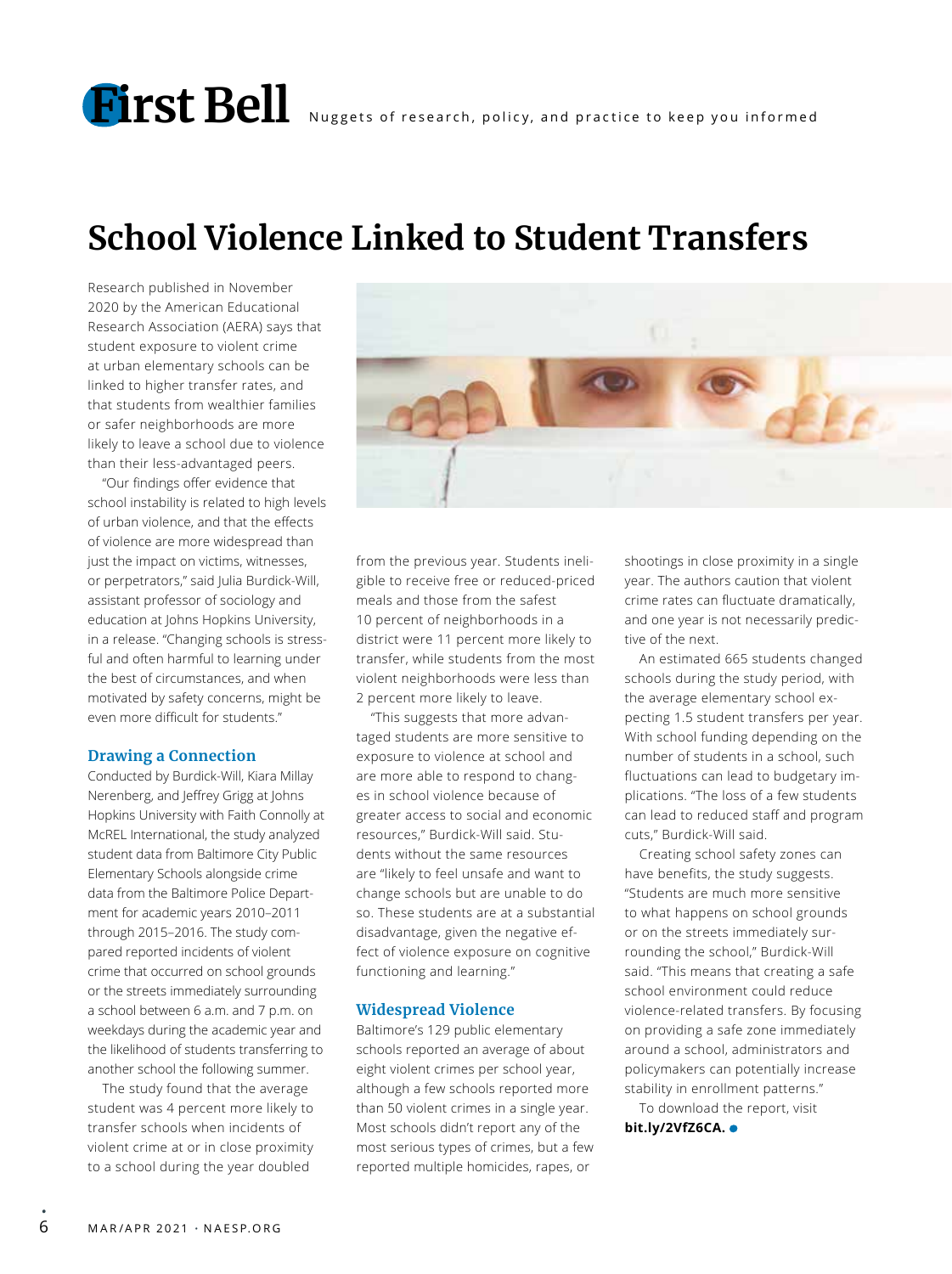## **School Violence Linked to Student Transfers**

Research published in November 2020 by the American Educational Research Association (AERA) says that student exposure to violent crime at urban elementary schools can be linked to higher transfer rates, and that students from wealthier families or safer neighborhoods are more likely to leave a school due to violence than their less-advantaged peers.

"Our findings offer evidence that school instability is related to high levels of urban violence, and that the effects of violence are more widespread than just the impact on victims, witnesses, or perpetrators," said Julia Burdick-Will, assistant professor of sociology and education at Johns Hopkins University, in a release. "Changing schools is stressful and often harmful to learning under the best of circumstances, and when motivated by safety concerns, might be even more difficult for students."

#### **Drawing a Connection**

Conducted by Burdick-Will, Kiara Millay Nerenberg, and Jeffrey Grigg at Johns Hopkins University with Faith Connolly at McREL International, the study analyzed student data from Baltimore City Public Elementary Schools alongside crime data from the Baltimore Police Department for academic years 2010–2011 through 2015–2016. The study compared reported incidents of violent crime that occurred on school grounds or the streets immediately surrounding a school between 6 a.m. and 7 p.m. on weekdays during the academic year and the likelihood of students transferring to another school the following summer.

The study found that the average student was 4 percent more likely to transfer schools when incidents of violent crime at or in close proximity to a school during the year doubled



from the previous year. Students ineligible to receive free or reduced-priced meals and those from the safest 10 percent of neighborhoods in a district were 11 percent more likely to transfer, while students from the most violent neighborhoods were less than 2 percent more likely to leave.

"This suggests that more advantaged students are more sensitive to exposure to violence at school and are more able to respond to changes in school violence because of greater access to social and economic resources," Burdick-Will said. Students without the same resources are "likely to feel unsafe and want to change schools but are unable to do so. These students are at a substantial disadvantage, given the negative effect of violence exposure on cognitive functioning and learning."

#### **Widespread Violence**

Baltimore's 129 public elementary schools reported an average of about eight violent crimes per school year, although a few schools reported more than 50 violent crimes in a single year. Most schools didn't report any of the most serious types of crimes, but a few reported multiple homicides, rapes, or

shootings in close proximity in a single year. The authors caution that violent crime rates can fluctuate dramatically, and one year is not necessarily predictive of the next.

An estimated 665 students changed schools during the study period, with the average elementary school expecting 1.5 student transfers per year. With school funding depending on the number of students in a school, such fluctuations can lead to budgetary implications. "The loss of a few students can lead to reduced staff and program cuts," Burdick-Will said.

Creating school safety zones can have benefits, the study suggests. "Students are much more sensitive to what happens on school grounds or on the streets immediately surrounding the school," Burdick-Will said. "This means that creating a safe school environment could reduce violence-related transfers. By focusing on providing a safe zone immediately around a school, administrators and policymakers can potentially increase stability in enrollment patterns."

To download the report, visit **bit.ly/2VfZ6CA.**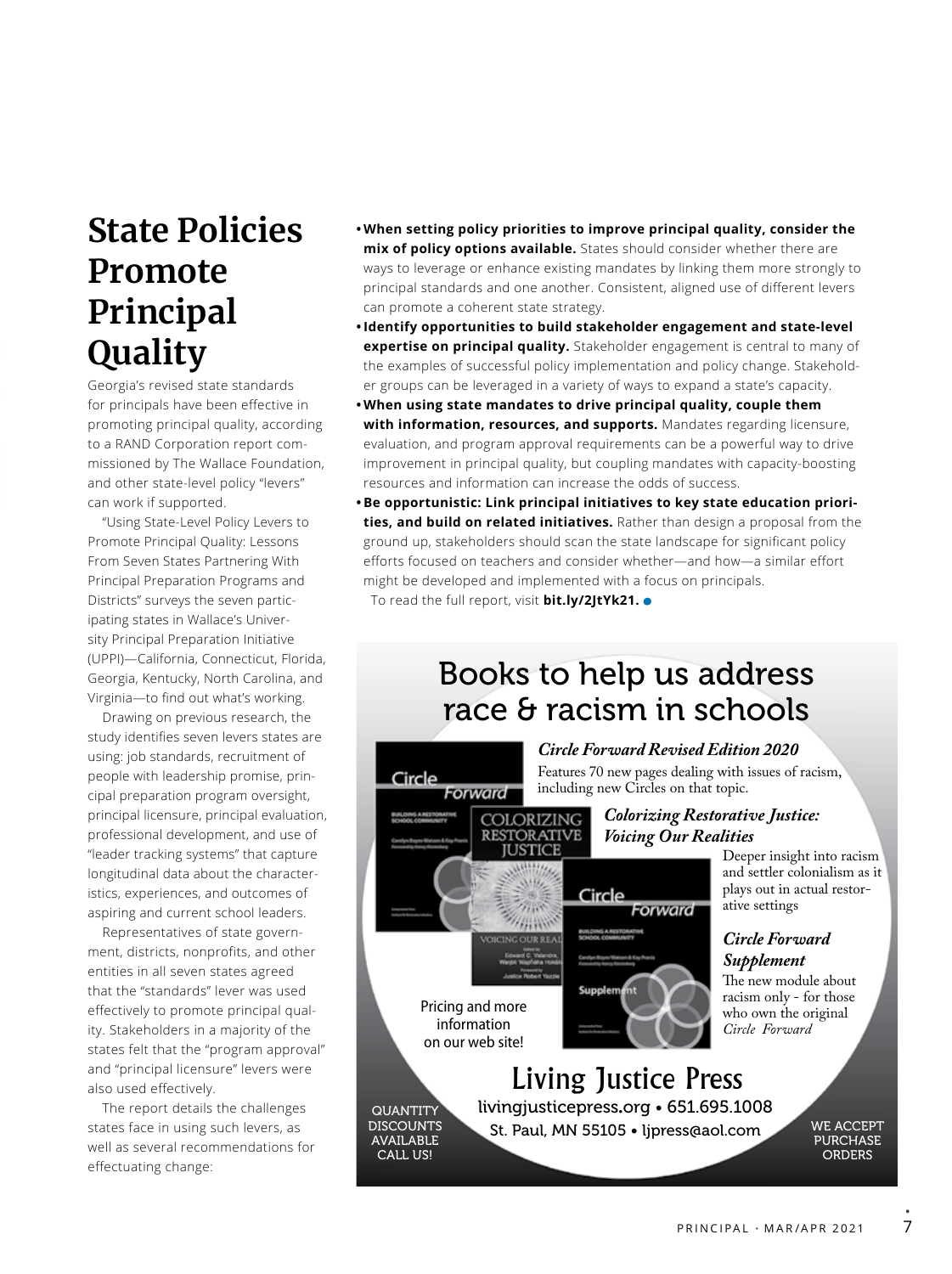## **State Policies Promote Principal Quality**

Georgia's revised state standards for principals have been effective in promoting principal quality, according to a RAND Corporation report commissioned by The Wallace Foundation, and other state-level policy "levers" can work if supported.

"Using State-Level Policy Levers to Promote Principal Quality: Lessons From Seven States Partnering With Principal Preparation Programs and Districts" surveys the seven participating states in Wallace's University Principal Preparation Initiative (UPPI)—California, Connecticut, Florida, Georgia, Kentucky, North Carolina, and Virginia—to find out what's working.

Drawing on previous research, the study identifies seven levers states are using: job standards, recruitment of people with leadership promise, principal preparation program oversight, principal licensure, principal evaluation, professional development, and use of "leader tracking systems" that capture longitudinal data about the characteristics, experiences, and outcomes of aspiring and current school leaders.

Representatives of state government, districts, nonprofits, and other entities in all seven states agreed that the "standards" lever was used effectively to promote principal quality. Stakeholders in a majority of the states felt that the "program approval" and "principal licensure" levers were also used effectively.

The report details the challenges states face in using such levers, as well as several recommendations for effectuating change:

- **• When setting policy priorities to improve principal quality, consider the mix of policy options available.** States should consider whether there are ways to leverage or enhance existing mandates by linking them more strongly to principal standards and one another. Consistent, aligned use of different levers can promote a coherent state strategy.
- **•Identify opportunities to build stakeholder engagement and state-level expertise on principal quality.** Stakeholder engagement is central to many of the examples of successful policy implementation and policy change. Stakeholder groups can be leveraged in a variety of ways to expand a state's capacity.
- **• When using state mandates to drive principal quality, couple them with information, resources, and supports.** Mandates regarding licensure, evaluation, and program approval requirements can be a powerful way to drive improvement in principal quality, but coupling mandates with capacity-boosting resources and information can increase the odds of success.
- **• Be opportunistic: Link principal initiatives to key state education priorities, and build on related initiatives.** Rather than design a proposal from the ground up, stakeholders should scan the state landscape for significant policy efforts focused on teachers and consider whether—and how—a similar effort might be developed and implemented with a focus on principals.

To read the full report, visit **bit.ly/2JtYk21.**

### Books to help us address race & racism in schools

#### *Circle Forward Revised Edition 2020*

Forward

Features 70 new pages dealing with issues of racism, including new Circles on that topic.

#### *Colorizing Restorative Justice: Voicing Our Realities*

Deeper insight into racism and settler colonialism as it plays out in actual restorative settings

#### *Circle Forward Supplement*

The new module about racism only - for those who own the original *Circle Forward*

# Living Justice Press

Circle

Supplement

**QUANTITY DISCOUNTS** AVAILABLE CALL US!

Circle

Pricing and more information on our web site!

Forward

COLORIZING **RESTORATIVE JUSTICE** 

**THAM** 

livingjusticepress.org • 651.695.1008 St. Paul, MN 55105 • ljpress@aol.com

WE ACCEPT PURCHASE **ORDERS** 

•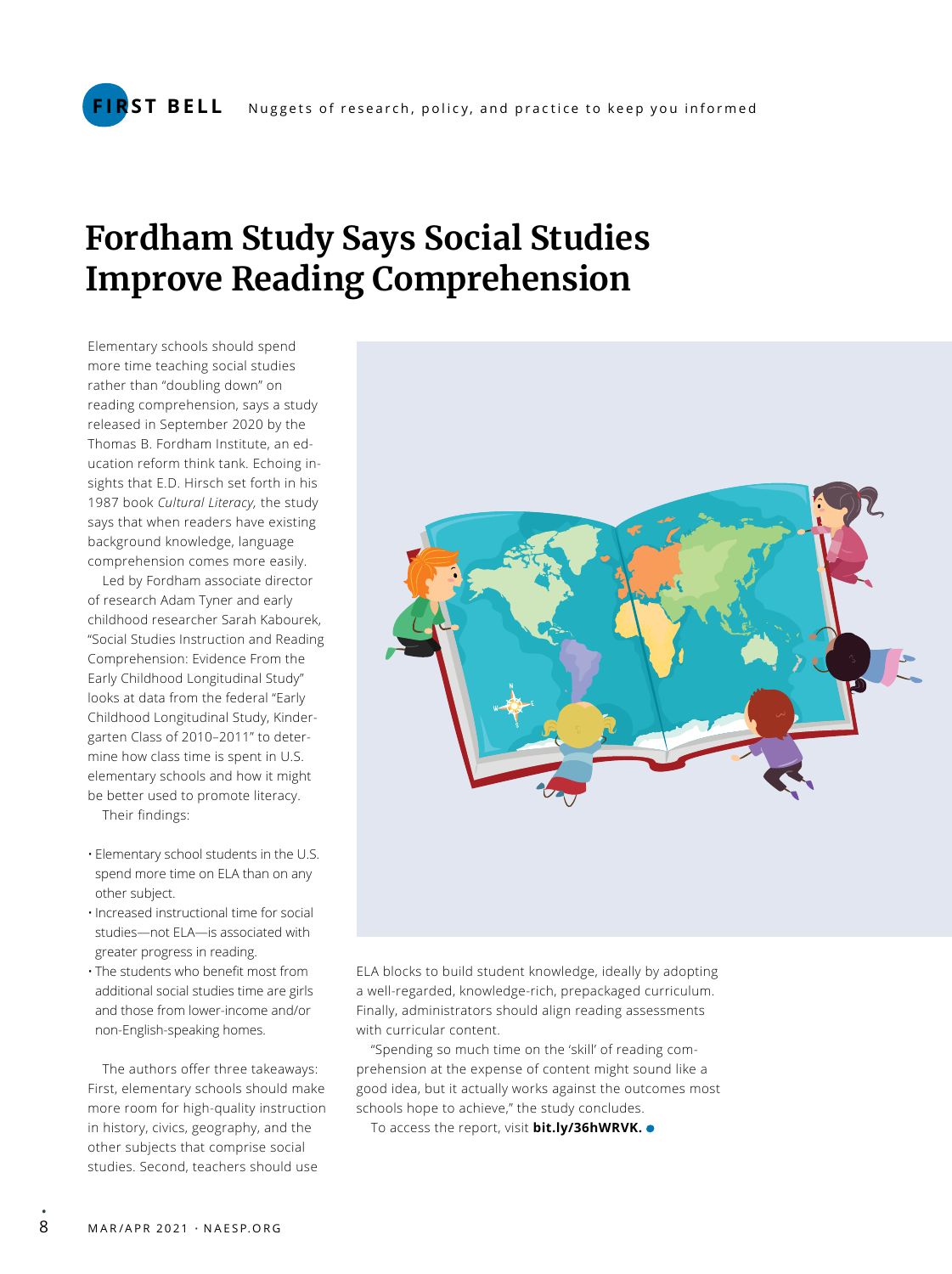### **Fordham Study Says Social Studies Improve Reading Comprehension**

Elementary schools should spend more time teaching social studies rather than "doubling down" on reading comprehension, says a study released in September 2020 by the Thomas B. Fordham Institute, an education reform think tank. Echoing insights that E.D. Hirsch set forth in his 1987 book *Cultural Literacy,* the study says that when readers have existing background knowledge, language comprehension comes more easily.

Led by Fordham associate director of research Adam Tyner and early childhood researcher Sarah Kabourek, "Social Studies Instruction and Reading Comprehension: Evidence From the Early Childhood Longitudinal Study" looks at data from the federal "Early Childhood Longitudinal Study, Kindergarten Class of 2010–2011" to determine how class time is spent in U.S. elementary schools and how it might be better used to promote literacy. Their findings:

- Elementary school students in the U.S. spend more time on ELA than on any other subject.
- •Increased instructional time for social studies—not ELA—is associated with greater progress in reading.
- The students who benefit most from additional social studies time are girls and those from lower-income and/or non-English-speaking homes.

The authors offer three takeaways: First, elementary schools should make more room for high-quality instruction in history, civics, geography, and the other subjects that comprise social studies. Second, teachers should use



ELA blocks to build student knowledge, ideally by adopting a well-regarded, knowledge-rich, prepackaged curriculum. Finally, administrators should align reading assessments with curricular content.

"Spending so much time on the 'skill' of reading comprehension at the expense of content might sound like a good idea, but it actually works against the outcomes most schools hope to achieve," the study concludes.

To access the report, visit **bit.ly/36hWRVK.**